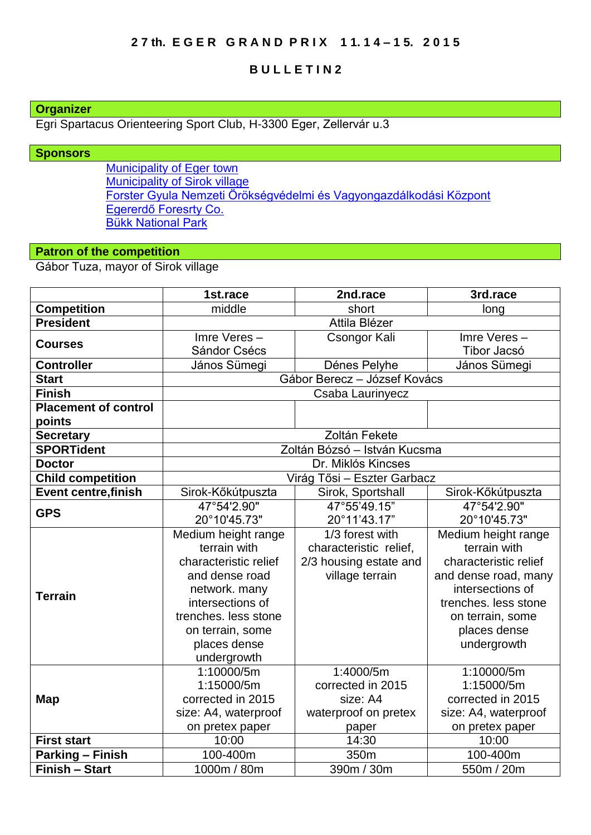## **2 7 th. E G E R G R A N D P R I X 1 1. 1 4 – 1 5. 2 0 1 5**

## **B U L L E T I N 2**

# **Organizer**

Egri Spartacus Orienteering Sport Club, H-3300 Eger, Zellervár u.3

### **Sponsors**

[Municipality of Eger town](http://www.eger.hu/?lang=2) [Municipality of Sirok village](http://www.sirok.hu/hirek/index.php) [Forster Gyula Nemzeti Örökségvédelmi és Vagyongazdálkodási Központ](http://www.forsterkozpont.hu/) [Egererdő Foresrty Co.](http://client4.springmedia.hu/index.php?tpl=page&cID=1) [Bükk National Park](http://en.bnpi.hu/)

# **Patron of the competition**

Gábor Tuza, mayor of Sirok village

|                             | 1st.race                     | 2nd.race               | 3rd.race              |
|-----------------------------|------------------------------|------------------------|-----------------------|
| <b>Competition</b>          | middle                       | short                  | long                  |
| <b>President</b>            | Attila Blézer                |                        |                       |
| <b>Courses</b>              | Imre Veres-                  | Csongor Kali           | Imre Veres-           |
|                             | Sándor Csécs                 |                        | Tibor Jacsó           |
| <b>Controller</b>           | János Sümegi                 | Dénes Pelyhe           | János Sümegi          |
| <b>Start</b>                | Gábor Berecz - József Kovács |                        |                       |
| <b>Finish</b>               | Csaba Laurinyecz             |                        |                       |
| <b>Placement of control</b> |                              |                        |                       |
| points                      |                              |                        |                       |
| <b>Secretary</b>            | Zoltán Fekete                |                        |                       |
| <b>SPORTident</b>           | Zoltán Bózsó - István Kucsma |                        |                       |
| <b>Doctor</b>               | Dr. Miklós Kincses           |                        |                       |
| <b>Child competition</b>    | Virág Tősi - Eszter Garbacz  |                        |                       |
| <b>Event centre, finish</b> | Sirok-Kőkútpuszta            | Sirok, Sportshall      | Sirok-Kőkútpuszta     |
| <b>GPS</b>                  | 47°54'2.90"                  | 47°55'49.15"           | 47°54'2.90"           |
|                             | 20°10'45.73"                 | 20°11'43.17"           | 20°10'45.73"          |
|                             | Medium height range          | 1/3 forest with        | Medium height range   |
|                             | terrain with                 | characteristic relief, | terrain with          |
|                             | characteristic relief        | 2/3 housing estate and | characteristic relief |
|                             | and dense road               | village terrain        | and dense road, many  |
| <b>Terrain</b>              | network. many                |                        | intersections of      |
|                             | intersections of             |                        | trenches. less stone  |
|                             | trenches. less stone         |                        | on terrain, some      |
|                             | on terrain, some             |                        | places dense          |
|                             | places dense                 |                        | undergrowth           |
|                             | undergrowth                  |                        |                       |
| <b>Map</b>                  | 1:10000/5m                   | 1:4000/5m              | 1:10000/5m            |
|                             | 1:15000/5m                   | corrected in 2015      | 1:15000/5m            |
|                             | corrected in 2015            | size: A4               | corrected in 2015     |
|                             | size: A4, waterproof         | waterproof on pretex   | size: A4, waterproof  |
|                             | on pretex paper              | paper                  | on pretex paper       |
| <b>First start</b>          | 10:00                        | 14:30                  | 10:00                 |
| <b>Parking - Finish</b>     | 100-400m                     | 350m                   | 100-400m              |
| <b>Finish - Start</b>       | 1000m / 80m                  | 390m / 30m             | 550m / 20m            |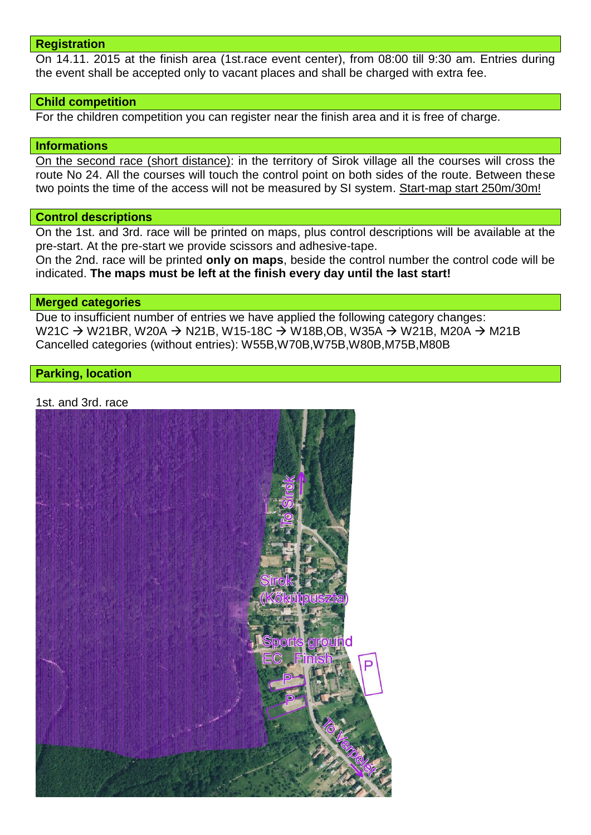#### **Registration**

On 14.11. 2015 at the finish area (1st.race event center), from 08:00 till 9:30 am. Entries during the event shall be accepted only to vacant places and shall be charged with extra fee.

#### **Child competition**

For the children competition you can register near the finish area and it is free of charge.

#### **Informations**

On the second race (short distance): in the territory of Sirok village all the courses will cross the route No 24. All the courses will touch the control point on both sides of the route. Between these two points the time of the access will not be measured by SI system. Start-map start 250m/30m!

#### **Control descriptions**

On the 1st. and 3rd. race will be printed on maps, plus control descriptions will be available at the pre-start. At the pre-start we provide scissors and adhesive-tape.

On the 2nd. race will be printed **only on maps**, beside the control number the control code will be indicated. **The maps must be left at the finish every day until the last start!**

#### **Merged categories**

Due to insufficient number of entries we have applied the following category changes: W21C  $\rightarrow$  W21BR, W20A  $\rightarrow$  N21B, W15-18C  $\rightarrow$  W18B,OB, W35A  $\rightarrow$  W21B, M20A  $\rightarrow$  M21B Cancelled categories (without entries): W55B,W70B,W75B,W80B,M75B,M80B

### **Parking, location**

1st. and 3rd. race

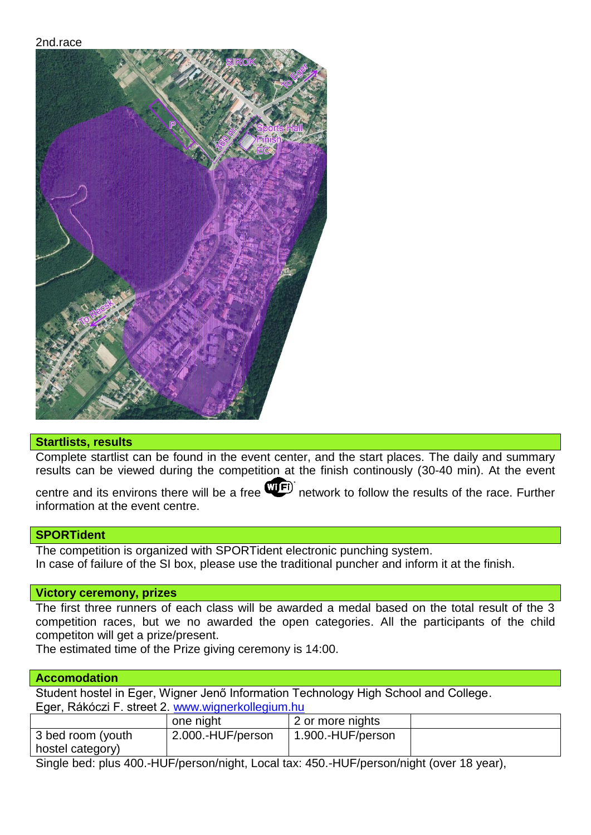2nd.race



## **Startlists, results**

Complete startlist can be found in the event center, and the start places. The daily and summary results can be viewed during the competition at the finish continously (30-40 min). At the event

centre and its environs there will be a free **WED** network to follow the results of the race. Further information at the event centre.

### **SPORTident**

The competition is organized with SPORTident electronic punching system. In case of failure of the SI box, please use the traditional puncher and inform it at the finish.

### **Victory ceremony, prizes**

The first three runners of each class will be awarded a medal based on the total result of the 3 competition races, but we no awarded the open categories. All the participants of the child competiton will get a prize/present.

The estimated time of the Prize giving ceremony is 14:00.

### **Accomodation**

Student hostel in Eger, Wigner Jenő Information Technology High School and College. Eger, Rákóczi F. street 2. [www.wignerkollegium.hu](http://www.wignerkollegium.hu/)

|                   | one night         | 2 or more nights  |  |  |
|-------------------|-------------------|-------------------|--|--|
| 3 bed room (youth | 2.000.-HUF/person | 1.900.-HUF/person |  |  |
| hostel category)  |                   |                   |  |  |
|                   |                   |                   |  |  |

Single bed: plus 400.-HUF/person/night, Local tax: 450.-HUF/person/night (over 18 year),